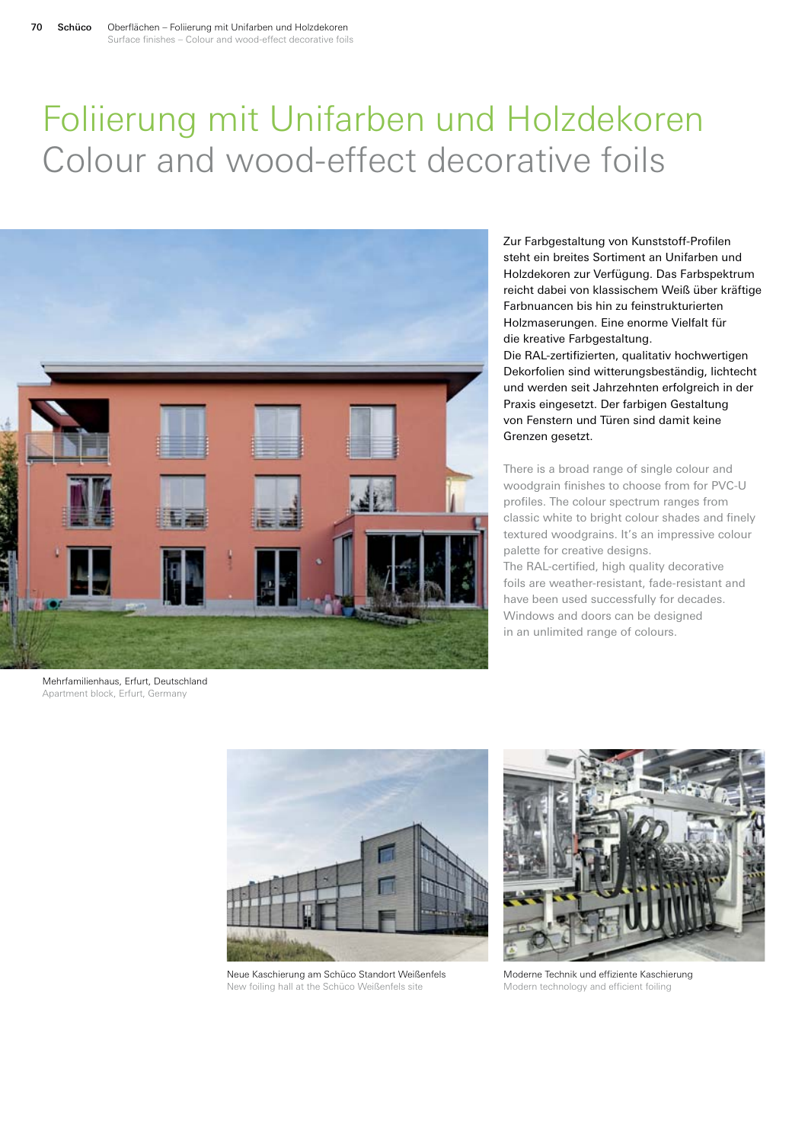## Foliierung mit Unifarben und Holzdekoren Colour and wood-effect decorative foils



Zur Farbgestaltung von Kunststoff-Profilen steht ein breites Sortiment an Unifarben und Holzdekoren zur Verfügung. Das Farbspektrum reicht dabei von klassischem Weiß über kräftige Farbnuancen bis hin zu feinstrukturierten Holzmaserungen. Eine enorme Vielfalt für die kreative Farbgestaltung. Die RAL-zertifizierten, qualitativ hochwertigen

Dekorfolien sind witterungsbeständig, lichtecht und werden seit Jahrzehnten erfolgreich in der Praxis eingesetzt. Der farbigen Gestaltung von Fenstern und Türen sind damit keine Grenzen gesetzt.

There is a broad range of single colour and woodgrain finishes to choose from for PVC-U profiles. The colour spectrum ranges from classic white to bright colour shades and finely textured woodgrains. It's an impressive colour palette for creative designs.

The RAL-certified, high quality decorative foils are weather-resistant, fade-resistant and have been used successfully for decades. Windows and doors can be designed in an unlimited range of colours.

Mehrfamilienhaus, Erfurt, Deutschland Apartment block, Erfurt, Germany



Neue Kaschierung am Schüco Standort Weißenfels New foiling hall at the Schüco Weißenfels site



Moderne Technik und effiziente Kaschierung Modern technology and efficient foiling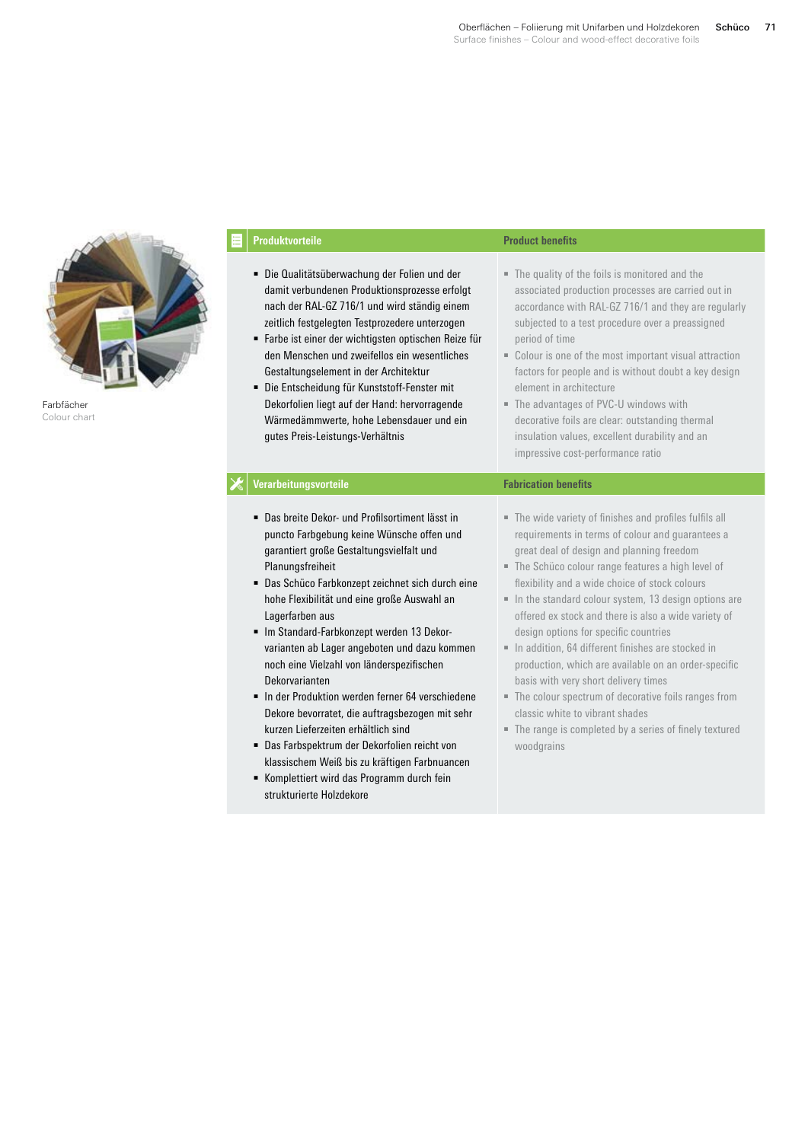

Farbfächer Colour chart

| Produktvorteile                                                                                                                                                                                                                                                                                                                                                                                                                                                                                                                                                                                                                                                                                                                             | <b>Product benefits</b>                                                                                                                                                                                                                                                                                                                                                                                                                                                                                                                                                                                                                                                                                                                           |
|---------------------------------------------------------------------------------------------------------------------------------------------------------------------------------------------------------------------------------------------------------------------------------------------------------------------------------------------------------------------------------------------------------------------------------------------------------------------------------------------------------------------------------------------------------------------------------------------------------------------------------------------------------------------------------------------------------------------------------------------|---------------------------------------------------------------------------------------------------------------------------------------------------------------------------------------------------------------------------------------------------------------------------------------------------------------------------------------------------------------------------------------------------------------------------------------------------------------------------------------------------------------------------------------------------------------------------------------------------------------------------------------------------------------------------------------------------------------------------------------------------|
| Die Qualitätsüberwachung der Folien und der<br>damit verbundenen Produktionsprozesse erfolgt<br>nach der RAL-GZ 716/1 und wird ständig einem<br>zeitlich festgelegten Testprozedere unterzogen<br>Farbe ist einer der wichtigsten optischen Reize für<br>den Menschen und zweifellos ein wesentliches<br>Gestaltungselement in der Architektur<br>· Die Entscheidung für Kunststoff-Fenster mit<br>Dekorfolien liegt auf der Hand: hervorragende<br>Wärmedämmwerte, hohe Lebensdauer und ein<br>gutes Preis-Leistungs-Verhältnis                                                                                                                                                                                                            | • The quality of the foils is monitored and the<br>associated production processes are carried out in<br>accordance with RAL-GZ 716/1 and they are regularly<br>subjected to a test procedure over a preassigned<br>period of time<br>• Colour is one of the most important visual attraction<br>factors for people and is without doubt a key design<br>element in architecture<br>• The advantages of PVC-U windows with<br>decorative foils are clear: outstanding thermal<br>insulation values, excellent durability and an<br>impressive cost-performance ratio                                                                                                                                                                              |
| Verarbeitungsvorteile                                                                                                                                                                                                                                                                                                                                                                                                                                                                                                                                                                                                                                                                                                                       | <b>Fabrication benefits</b>                                                                                                                                                                                                                                                                                                                                                                                                                                                                                                                                                                                                                                                                                                                       |
| • Das breite Dekor- und Profilsortiment lässt in<br>puncto Farbgebung keine Wünsche offen und<br>garantiert große Gestaltungsvielfalt und<br>Planungsfreiheit<br>• Das Schüco Farbkonzept zeichnet sich durch eine<br>hohe Flexibilität und eine große Auswahl an<br>Lagerfarben aus<br>Im Standard-Farbkonzept werden 13 Dekor-<br>varianten ab Lager angeboten und dazu kommen<br>noch eine Vielzahl von länderspezifischen<br>Dekorvarianten<br>In der Produktion werden ferner 64 verschiedene<br>Dekore bevorratet, die auftragsbezogen mit sehr<br>kurzen Lieferzeiten erhältlich sind<br>• Das Farbspektrum der Dekorfolien reicht von<br>klassischem Weiß bis zu kräftigen Farbnuancen<br>Komplettiert wird das Programm durch fein | The wide variety of finishes and profiles fulfils all<br>requirements in terms of colour and guarantees a<br>great deal of design and planning freedom<br>• The Schüco colour range features a high level of<br>flexibility and a wide choice of stock colours<br>In the standard colour system, 13 design options are<br>offered ex stock and there is also a wide variety of<br>design options for specific countries<br>In addition, 64 different finishes are stocked in<br>production, which are available on an order-specific<br>basis with very short delivery times<br>• The colour spectrum of decorative foils ranges from<br>classic white to vibrant shades<br>• The range is completed by a series of finely textured<br>woodgrains |